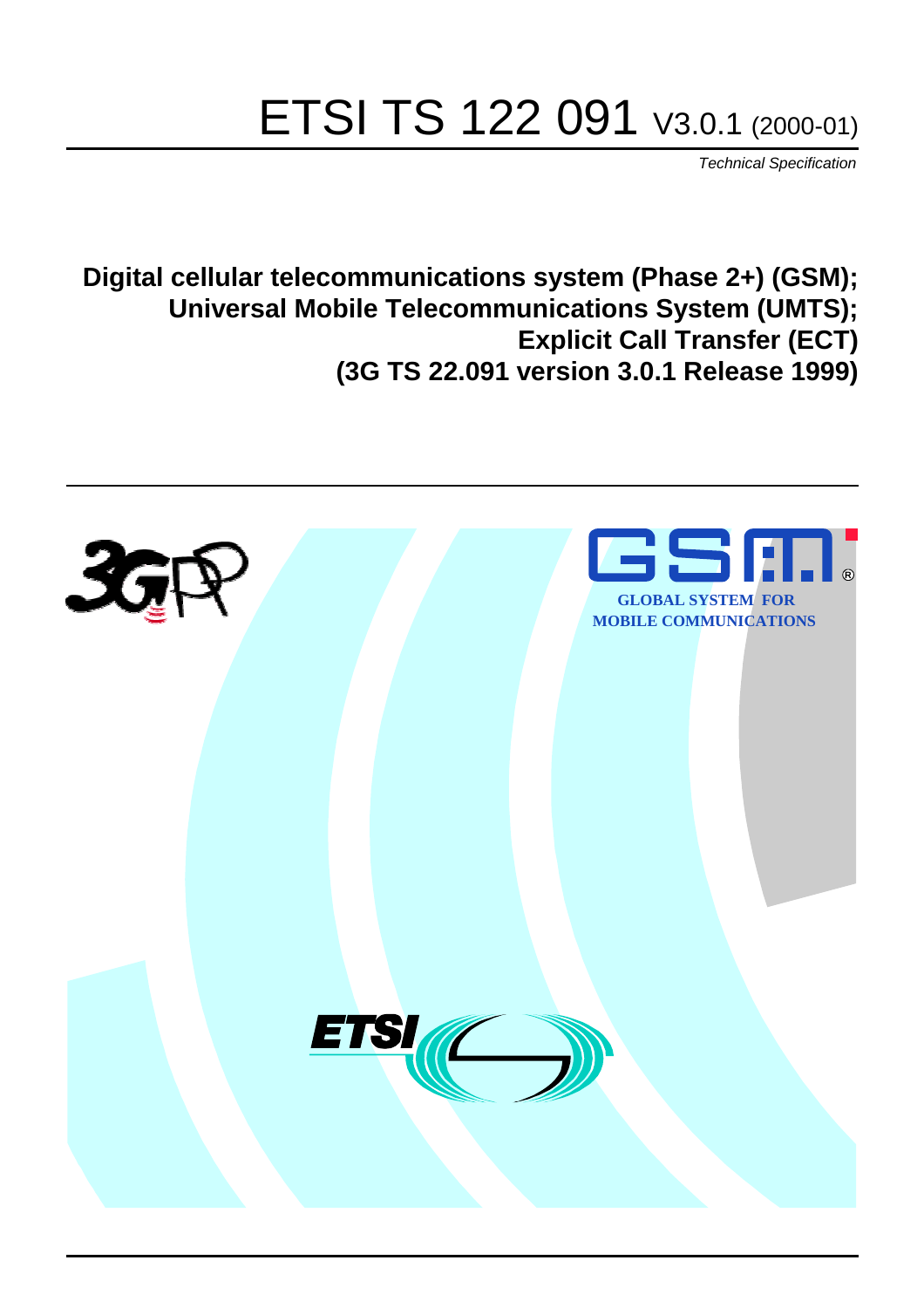# ETSI TS 122 091 V3.0.1 (2000-01)

Technical Specification

**Digital cellular telecommunications system (Phase 2+) (GSM); Universal Mobile Telecommunications System (UMTS); Explicit Call Transfer (ECT) (3G TS 22.091 version 3.0.1 Release 1999)**

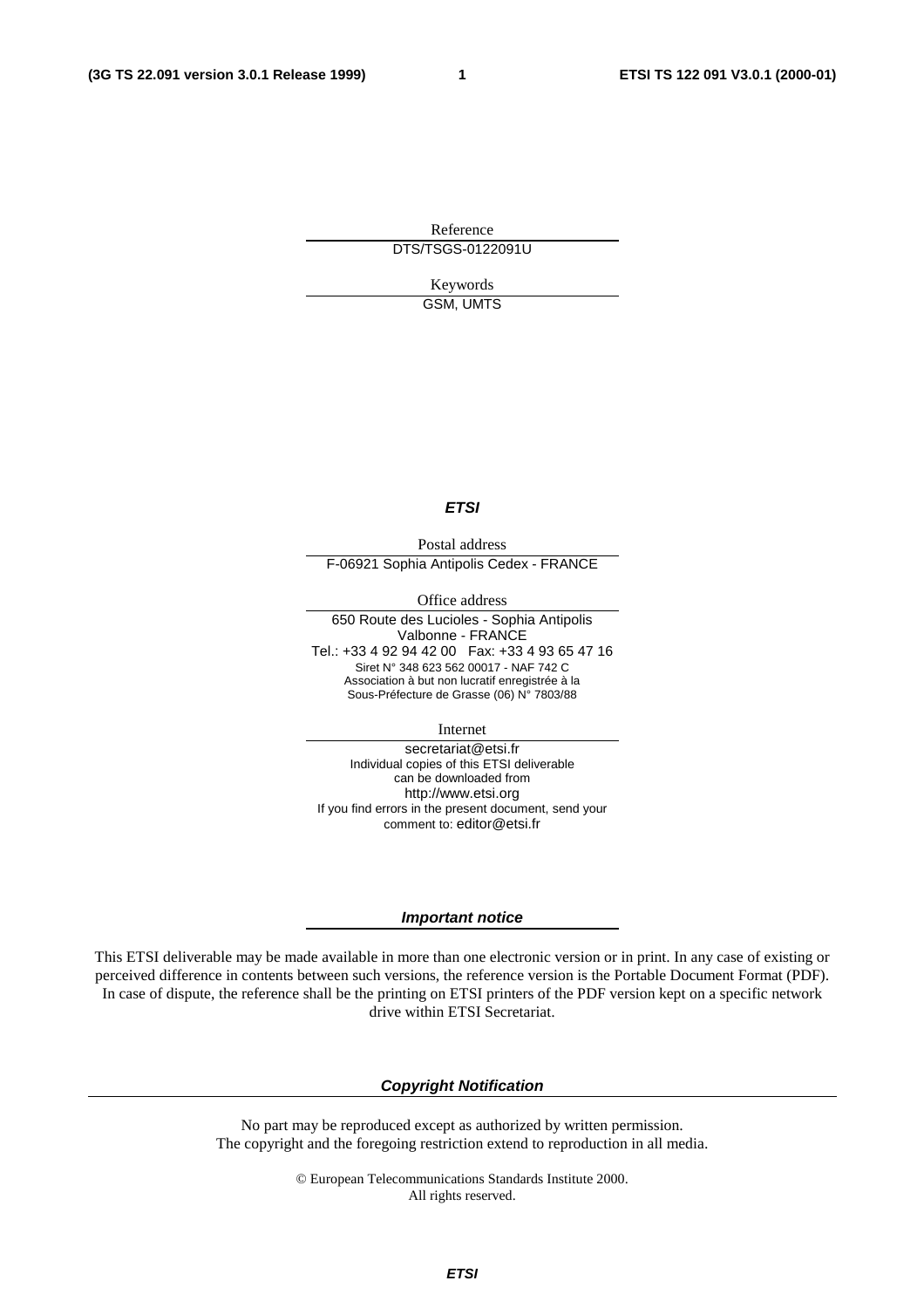**1**

Reference DTS/TSGS-0122091U

> Keywords GSM, UMTS

#### **ETSI**

Postal address F-06921 Sophia Antipolis Cedex - FRANCE

Office address

650 Route des Lucioles - Sophia Antipolis Valbonne - FRANCE Tel.: +33 4 92 94 42 00 Fax: +33 4 93 65 47 16 Siret N° 348 623 562 00017 - NAF 742 C Association à but non lucratif enregistrée à la Sous-Préfecture de Grasse (06) N° 7803/88

Internet

secretariat@etsi.fr Individual copies of this ETSI deliverable can be downloaded from http://www.etsi.org If you find errors in the present document, send your comment to: editor@etsi.fr

#### **Important notice**

This ETSI deliverable may be made available in more than one electronic version or in print. In any case of existing or perceived difference in contents between such versions, the reference version is the Portable Document Format (PDF). In case of dispute, the reference shall be the printing on ETSI printers of the PDF version kept on a specific network drive within ETSI Secretariat.

#### **Copyright Notification**

No part may be reproduced except as authorized by written permission. The copyright and the foregoing restriction extend to reproduction in all media.

> © European Telecommunications Standards Institute 2000. All rights reserved.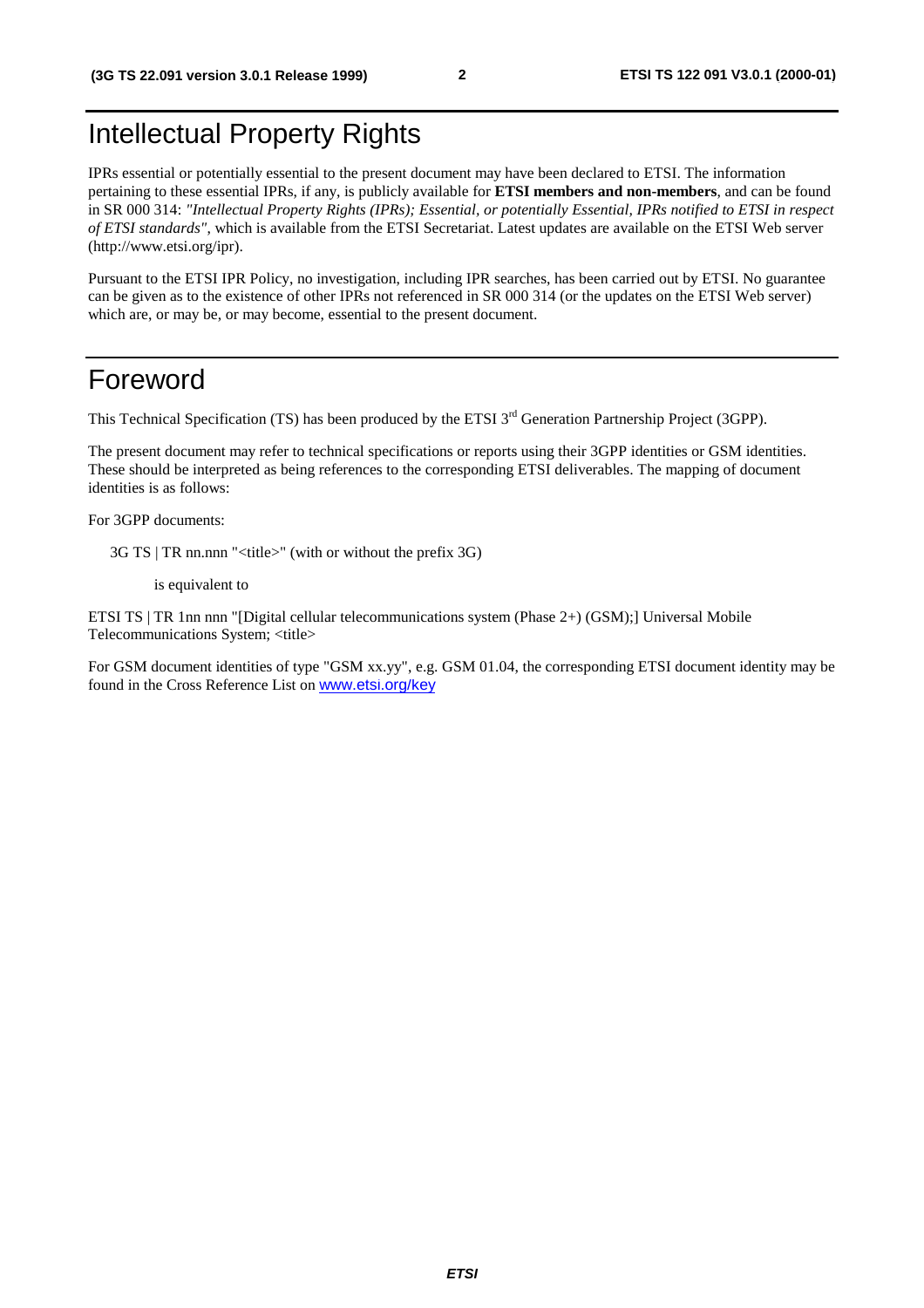# Intellectual Property Rights

IPRs essential or potentially essential to the present document may have been declared to ETSI. The information pertaining to these essential IPRs, if any, is publicly available for **ETSI members and non-members**, and can be found in SR 000 314: *"Intellectual Property Rights (IPRs); Essential, or potentially Essential, IPRs notified to ETSI in respect of ETSI standards"*, which is available from the ETSI Secretariat. Latest updates are available on the ETSI Web server (http://www.etsi.org/ipr).

Pursuant to the ETSI IPR Policy, no investigation, including IPR searches, has been carried out by ETSI. No guarantee can be given as to the existence of other IPRs not referenced in SR 000 314 (or the updates on the ETSI Web server) which are, or may be, or may become, essential to the present document.

#### Foreword

This Technical Specification (TS) has been produced by the ETSI 3<sup>rd</sup> Generation Partnership Project (3GPP).

The present document may refer to technical specifications or reports using their 3GPP identities or GSM identities. These should be interpreted as being references to the corresponding ETSI deliverables. The mapping of document identities is as follows:

For 3GPP documents:

3G TS | TR nn.nnn "<title>" (with or without the prefix 3G)

is equivalent to

ETSI TS | TR 1nn nnn "[Digital cellular telecommunications system (Phase 2+) (GSM);] Universal Mobile Telecommunications System; <title>

For GSM document identities of type "GSM xx.yy", e.g. GSM 01.04, the corresponding ETSI document identity may be found in the Cross Reference List on [www.etsi.org/key](http://www.etsi.org/key)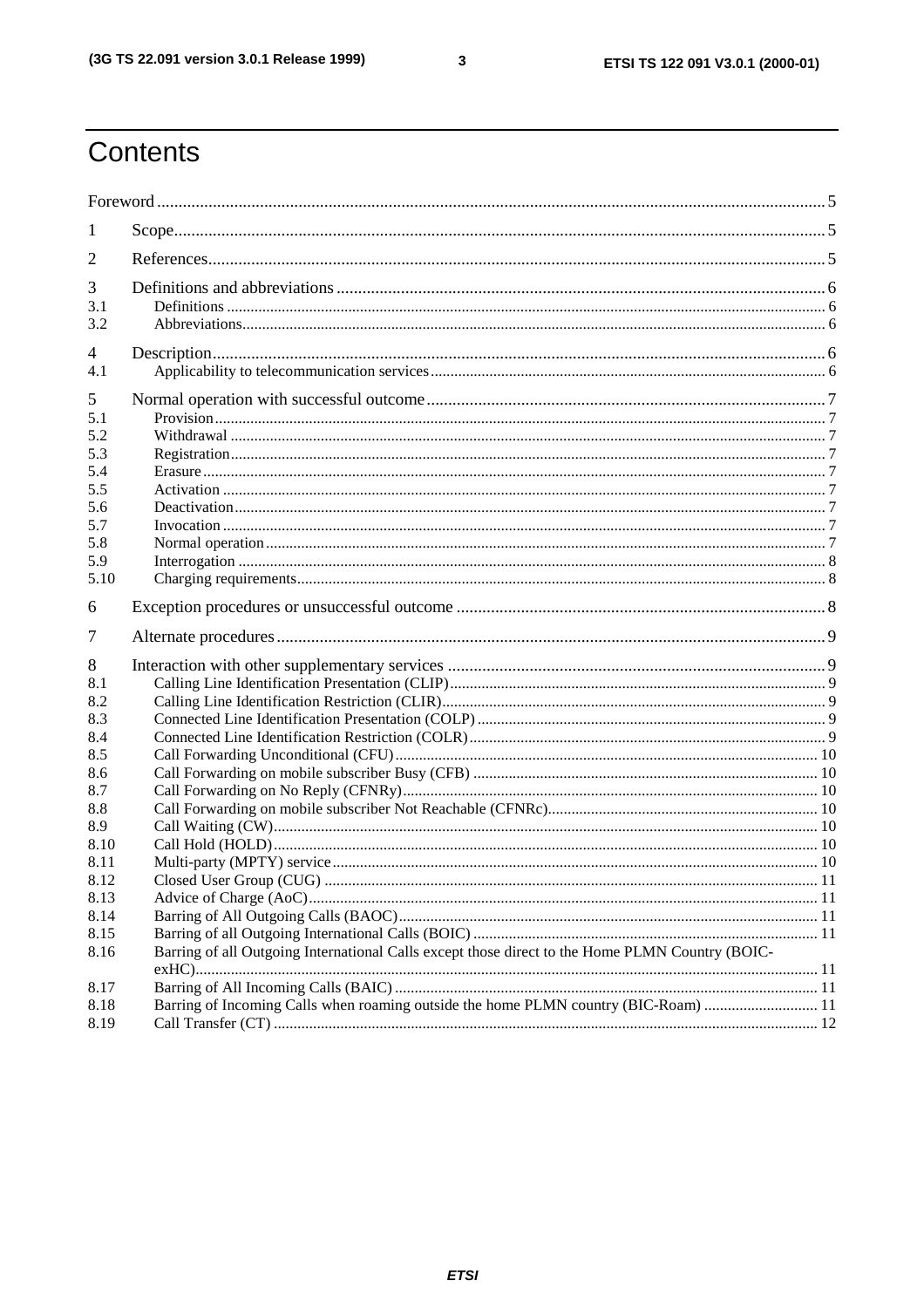ETSI TS 122 091 V3.0.1 (2000-01)

# Contents

| $\bf{l}$     |                                                                                                 |  |  |  |  |
|--------------|-------------------------------------------------------------------------------------------------|--|--|--|--|
| 2            |                                                                                                 |  |  |  |  |
| 3            |                                                                                                 |  |  |  |  |
| 3.1          |                                                                                                 |  |  |  |  |
| 3.2          |                                                                                                 |  |  |  |  |
| 4            |                                                                                                 |  |  |  |  |
| 4.1          |                                                                                                 |  |  |  |  |
| 5            |                                                                                                 |  |  |  |  |
| 5.1          |                                                                                                 |  |  |  |  |
| 5.2          |                                                                                                 |  |  |  |  |
| 5.3          |                                                                                                 |  |  |  |  |
| 5.4          |                                                                                                 |  |  |  |  |
| 5.5          |                                                                                                 |  |  |  |  |
| 5.6          |                                                                                                 |  |  |  |  |
| 5.7<br>5.8   |                                                                                                 |  |  |  |  |
| 5.9          |                                                                                                 |  |  |  |  |
| 5.10         |                                                                                                 |  |  |  |  |
|              |                                                                                                 |  |  |  |  |
| 6            |                                                                                                 |  |  |  |  |
| 7            |                                                                                                 |  |  |  |  |
| 8            |                                                                                                 |  |  |  |  |
| 8.1          |                                                                                                 |  |  |  |  |
| 8.2          |                                                                                                 |  |  |  |  |
| 8.3          |                                                                                                 |  |  |  |  |
| 8.4          |                                                                                                 |  |  |  |  |
| 8.5          |                                                                                                 |  |  |  |  |
| 8.6          |                                                                                                 |  |  |  |  |
| 8.7          |                                                                                                 |  |  |  |  |
| 8.8          |                                                                                                 |  |  |  |  |
| 8.9          |                                                                                                 |  |  |  |  |
| 8.10<br>8.11 |                                                                                                 |  |  |  |  |
| 8.12         |                                                                                                 |  |  |  |  |
| 8.13         |                                                                                                 |  |  |  |  |
| 8.14         |                                                                                                 |  |  |  |  |
| 8.15         |                                                                                                 |  |  |  |  |
| 8.16         | Barring of all Outgoing International Calls except those direct to the Home PLMN Country (BOIC- |  |  |  |  |
|              |                                                                                                 |  |  |  |  |
| 8.17         |                                                                                                 |  |  |  |  |
| 8.18         | Barring of Incoming Calls when roaming outside the home PLMN country (BIC-Roam)  11             |  |  |  |  |
| 8.19         |                                                                                                 |  |  |  |  |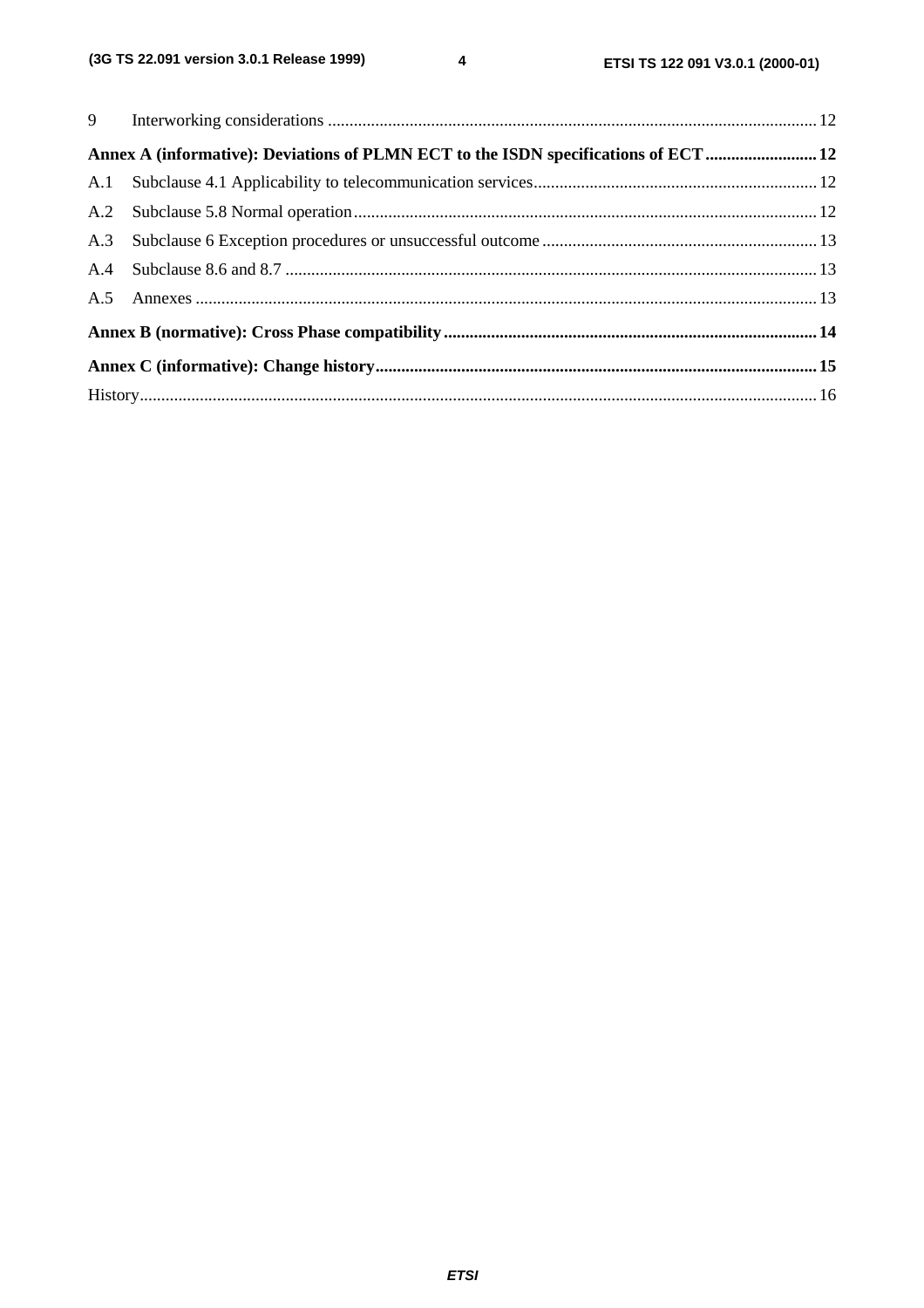|  | Annex A (informative): Deviations of PLMN ECT to the ISDN specifications of ECT  12 |  |  |  |
|--|-------------------------------------------------------------------------------------|--|--|--|
|  |                                                                                     |  |  |  |
|  |                                                                                     |  |  |  |
|  |                                                                                     |  |  |  |
|  |                                                                                     |  |  |  |
|  |                                                                                     |  |  |  |
|  |                                                                                     |  |  |  |
|  |                                                                                     |  |  |  |
|  |                                                                                     |  |  |  |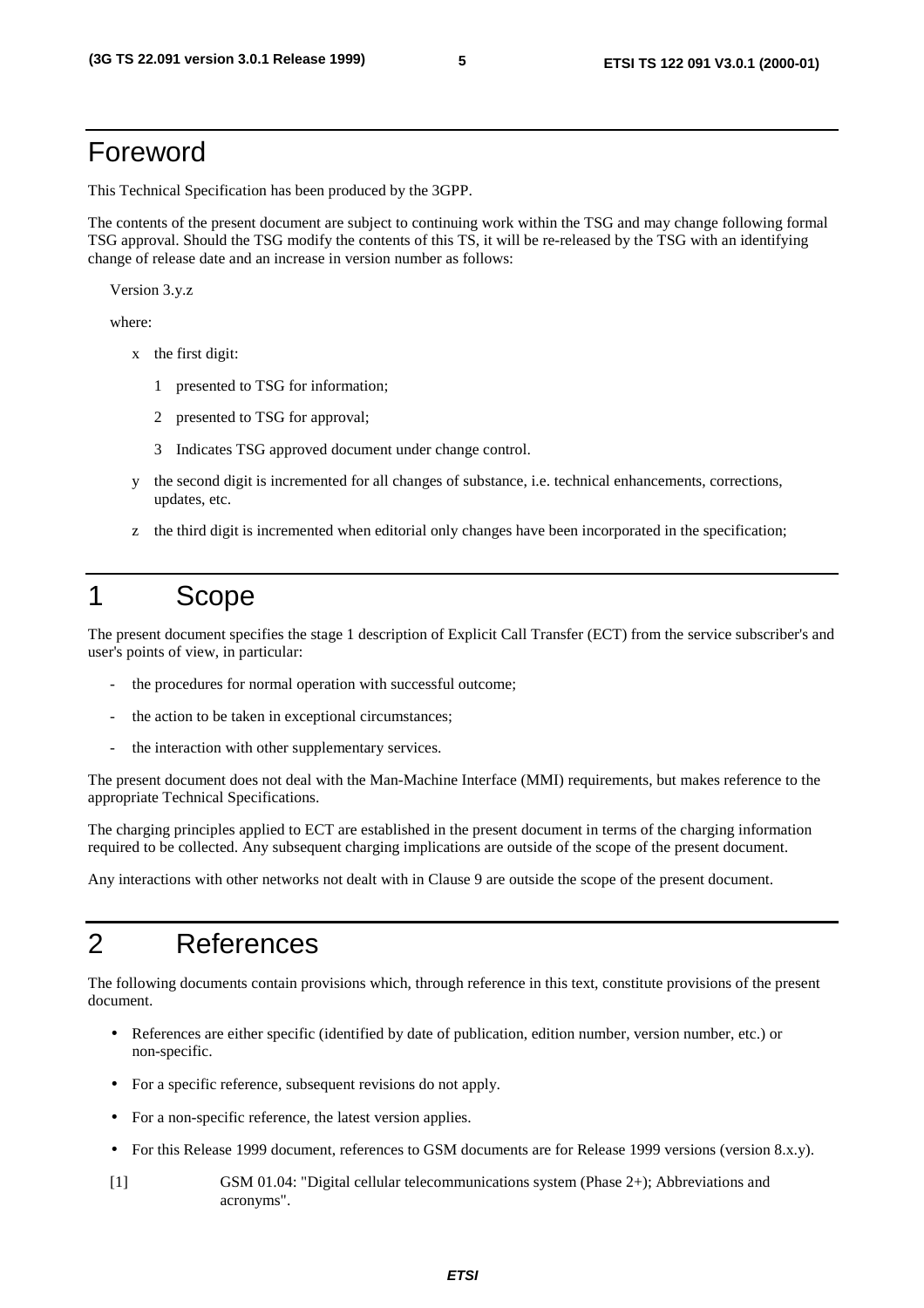#### Foreword

This Technical Specification has been produced by the 3GPP.

The contents of the present document are subject to continuing work within the TSG and may change following formal TSG approval. Should the TSG modify the contents of this TS, it will be re-released by the TSG with an identifying change of release date and an increase in version number as follows:

Version 3.y.z

where:

- x the first digit:
	- 1 presented to TSG for information;
	- 2 presented to TSG for approval;
	- 3 Indicates TSG approved document under change control.
- y the second digit is incremented for all changes of substance, i.e. technical enhancements, corrections, updates, etc.
- z the third digit is incremented when editorial only changes have been incorporated in the specification;

# 1 Scope

The present document specifies the stage 1 description of Explicit Call Transfer (ECT) from the service subscriber's and user's points of view, in particular:

- the procedures for normal operation with successful outcome;
- the action to be taken in exceptional circumstances;
- the interaction with other supplementary services.

The present document does not deal with the Man-Machine Interface (MMI) requirements, but makes reference to the appropriate Technical Specifications.

The charging principles applied to ECT are established in the present document in terms of the charging information required to be collected. Any subsequent charging implications are outside of the scope of the present document.

Any interactions with other networks not dealt with in Clause 9 are outside the scope of the present document.

#### 2 References

The following documents contain provisions which, through reference in this text, constitute provisions of the present document.

- References are either specific (identified by date of publication, edition number, version number, etc.) or non-specific.
- For a specific reference, subsequent revisions do not apply.
- For a non-specific reference, the latest version applies.
- For this Release 1999 document, references to GSM documents are for Release 1999 versions (version 8.x.y).
- [1] GSM 01.04: "Digital cellular telecommunications system (Phase 2+); Abbreviations and acronyms".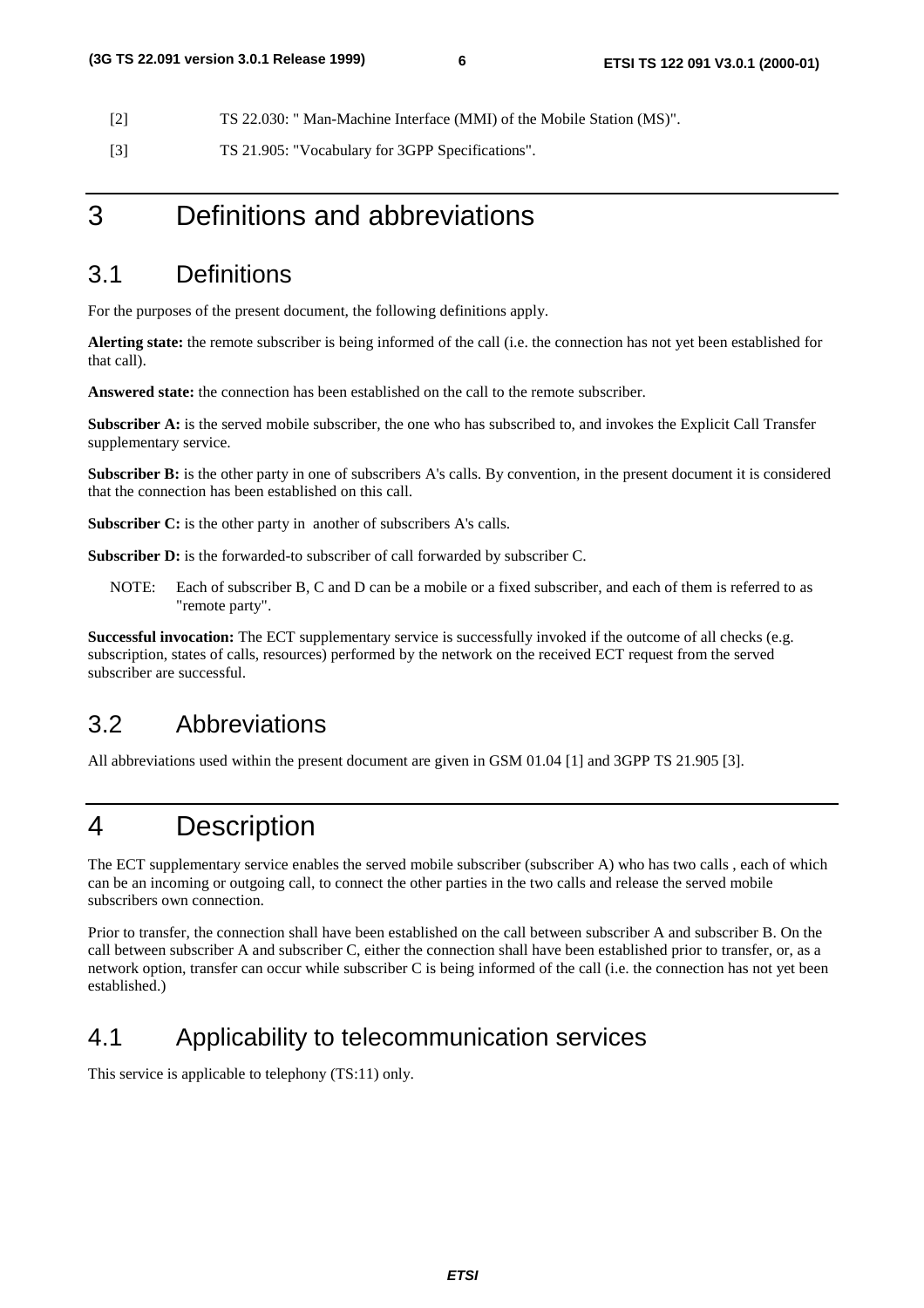[2] TS 22.030: " Man-Machine Interface (MMI) of the Mobile Station (MS)".

[3] TS 21.905: "Vocabulary for 3GPP Specifications".

#### 3 Definitions and abbreviations

#### 3.1 Definitions

For the purposes of the present document, the following definitions apply.

**Alerting state:** the remote subscriber is being informed of the call (i.e. the connection has not yet been established for that call).

**Answered state:** the connection has been established on the call to the remote subscriber.

**Subscriber A:** is the served mobile subscriber, the one who has subscribed to, and invokes the Explicit Call Transfer supplementary service.

**Subscriber B:** is the other party in one of subscribers A's calls. By convention, in the present document it is considered that the connection has been established on this call.

**Subscriber C:** is the other party in another of subscribers A's calls.

**Subscriber D:** is the forwarded-to subscriber of call forwarded by subscriber C.

NOTE: Each of subscriber B, C and D can be a mobile or a fixed subscriber, and each of them is referred to as "remote party".

**Successful invocation:** The ECT supplementary service is successfully invoked if the outcome of all checks (e.g. subscription, states of calls, resources) performed by the network on the received ECT request from the served subscriber are successful.

#### 3.2 Abbreviations

All abbreviations used within the present document are given in GSM 01.04 [1] and 3GPP TS 21.905 [3].

### 4 Description

The ECT supplementary service enables the served mobile subscriber (subscriber A) who has two calls , each of which can be an incoming or outgoing call, to connect the other parties in the two calls and release the served mobile subscribers own connection.

Prior to transfer, the connection shall have been established on the call between subscriber A and subscriber B. On the call between subscriber A and subscriber C, either the connection shall have been established prior to transfer, or, as a network option, transfer can occur while subscriber C is being informed of the call (i.e. the connection has not yet been established.)

#### 4.1 Applicability to telecommunication services

This service is applicable to telephony (TS:11) only.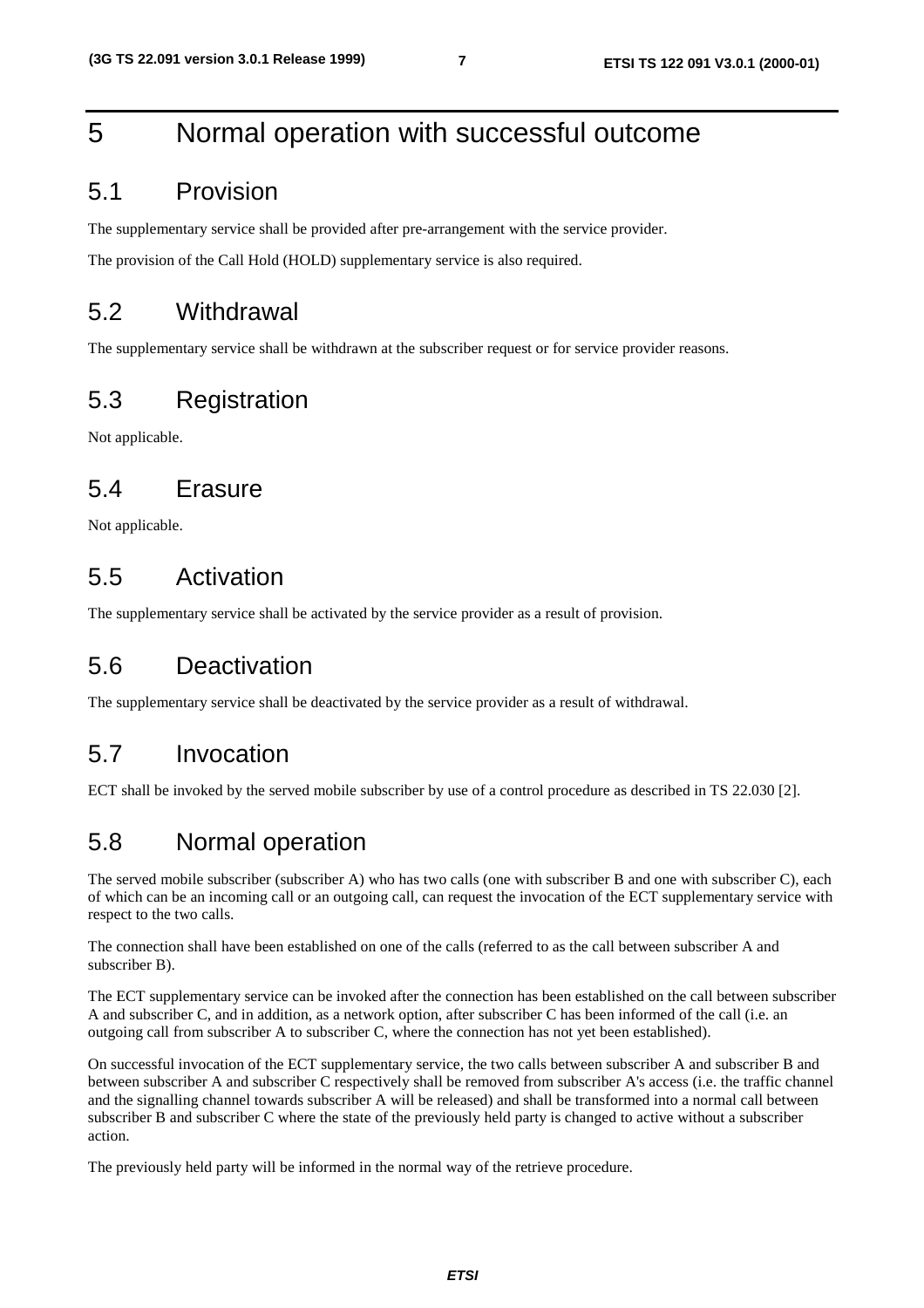# 5 Normal operation with successful outcome

#### 5.1 Provision

The supplementary service shall be provided after pre-arrangement with the service provider.

The provision of the Call Hold (HOLD) supplementary service is also required.

#### 5.2 Withdrawal

The supplementary service shall be withdrawn at the subscriber request or for service provider reasons.

### 5.3 Registration

Not applicable.

#### 5.4 Erasure

Not applicable.

#### 5.5 Activation

The supplementary service shall be activated by the service provider as a result of provision.

### 5.6 Deactivation

The supplementary service shall be deactivated by the service provider as a result of withdrawal.

#### 5.7 Invocation

ECT shall be invoked by the served mobile subscriber by use of a control procedure as described in TS 22.030 [2].

### 5.8 Normal operation

The served mobile subscriber (subscriber A) who has two calls (one with subscriber B and one with subscriber C), each of which can be an incoming call or an outgoing call, can request the invocation of the ECT supplementary service with respect to the two calls.

The connection shall have been established on one of the calls (referred to as the call between subscriber A and subscriber B).

The ECT supplementary service can be invoked after the connection has been established on the call between subscriber A and subscriber C, and in addition, as a network option, after subscriber C has been informed of the call (i.e. an outgoing call from subscriber A to subscriber C, where the connection has not yet been established).

On successful invocation of the ECT supplementary service, the two calls between subscriber A and subscriber B and between subscriber A and subscriber C respectively shall be removed from subscriber A's access (i.e. the traffic channel and the signalling channel towards subscriber A will be released) and shall be transformed into a normal call between subscriber B and subscriber C where the state of the previously held party is changed to active without a subscriber action.

The previously held party will be informed in the normal way of the retrieve procedure.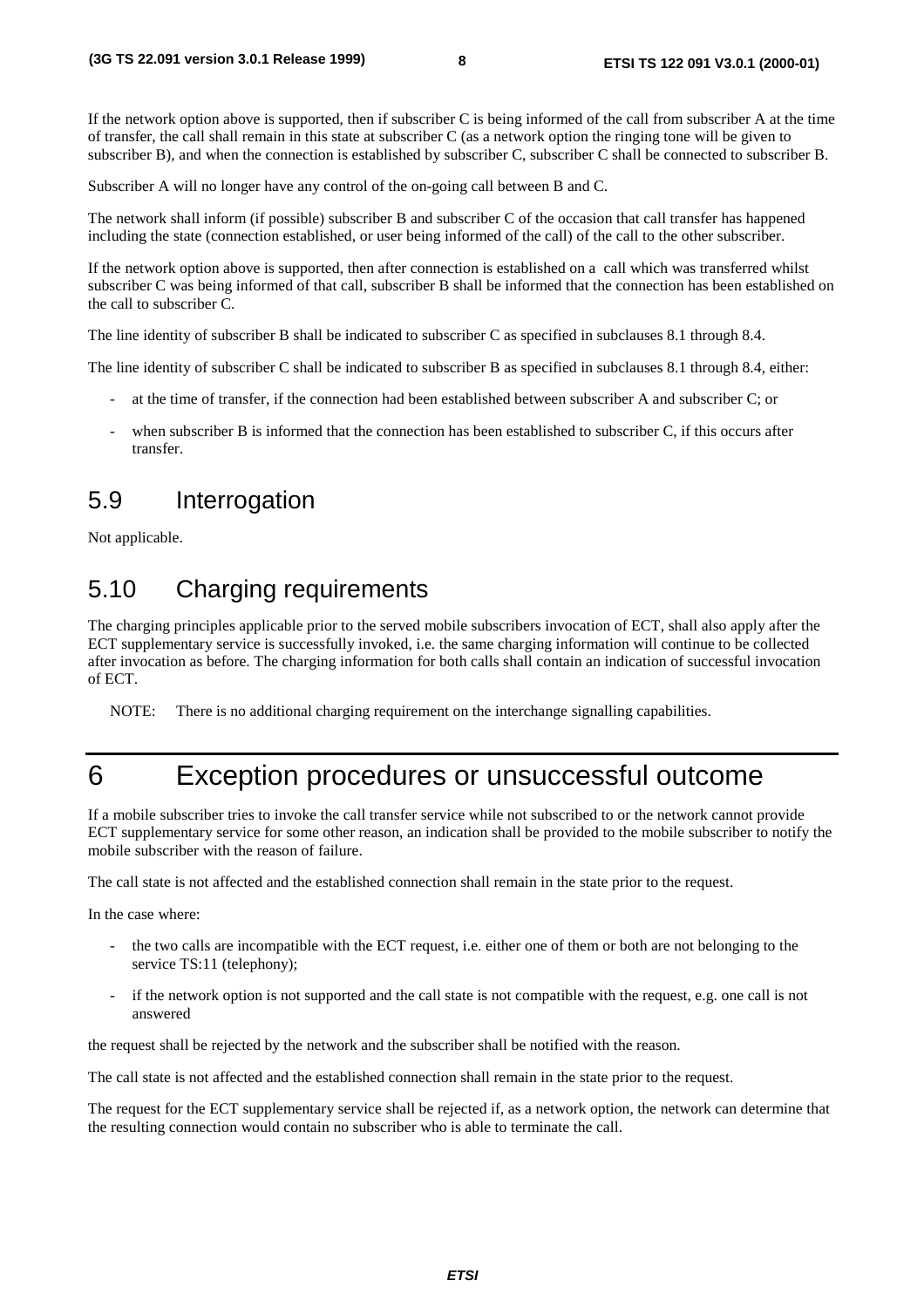If the network option above is supported, then if subscriber C is being informed of the call from subscriber A at the time of transfer, the call shall remain in this state at subscriber C (as a network option the ringing tone will be given to subscriber B), and when the connection is established by subscriber C, subscriber C shall be connected to subscriber B.

Subscriber A will no longer have any control of the on-going call between B and C.

The network shall inform (if possible) subscriber B and subscriber C of the occasion that call transfer has happened including the state (connection established, or user being informed of the call) of the call to the other subscriber.

If the network option above is supported, then after connection is established on a call which was transferred whilst subscriber C was being informed of that call, subscriber B shall be informed that the connection has been established on the call to subscriber C.

The line identity of subscriber B shall be indicated to subscriber C as specified in subclauses 8.1 through 8.4.

The line identity of subscriber C shall be indicated to subscriber B as specified in subclauses 8.1 through 8.4, either:

- at the time of transfer, if the connection had been established between subscriber A and subscriber C; or
- when subscriber B is informed that the connection has been established to subscriber C, if this occurs after transfer.

#### 5.9 Interrogation

Not applicable.

#### 5.10 Charging requirements

The charging principles applicable prior to the served mobile subscribers invocation of ECT, shall also apply after the ECT supplementary service is successfully invoked, i.e. the same charging information will continue to be collected after invocation as before. The charging information for both calls shall contain an indication of successful invocation of ECT.

NOTE: There is no additional charging requirement on the interchange signalling capabilities.

# 6 Exception procedures or unsuccessful outcome

If a mobile subscriber tries to invoke the call transfer service while not subscribed to or the network cannot provide ECT supplementary service for some other reason, an indication shall be provided to the mobile subscriber to notify the mobile subscriber with the reason of failure.

The call state is not affected and the established connection shall remain in the state prior to the request.

In the case where:

- the two calls are incompatible with the ECT request, i.e. either one of them or both are not belonging to the service TS:11 (telephony);
- if the network option is not supported and the call state is not compatible with the request, e.g. one call is not answered

the request shall be rejected by the network and the subscriber shall be notified with the reason.

The call state is not affected and the established connection shall remain in the state prior to the request.

The request for the ECT supplementary service shall be rejected if, as a network option, the network can determine that the resulting connection would contain no subscriber who is able to terminate the call.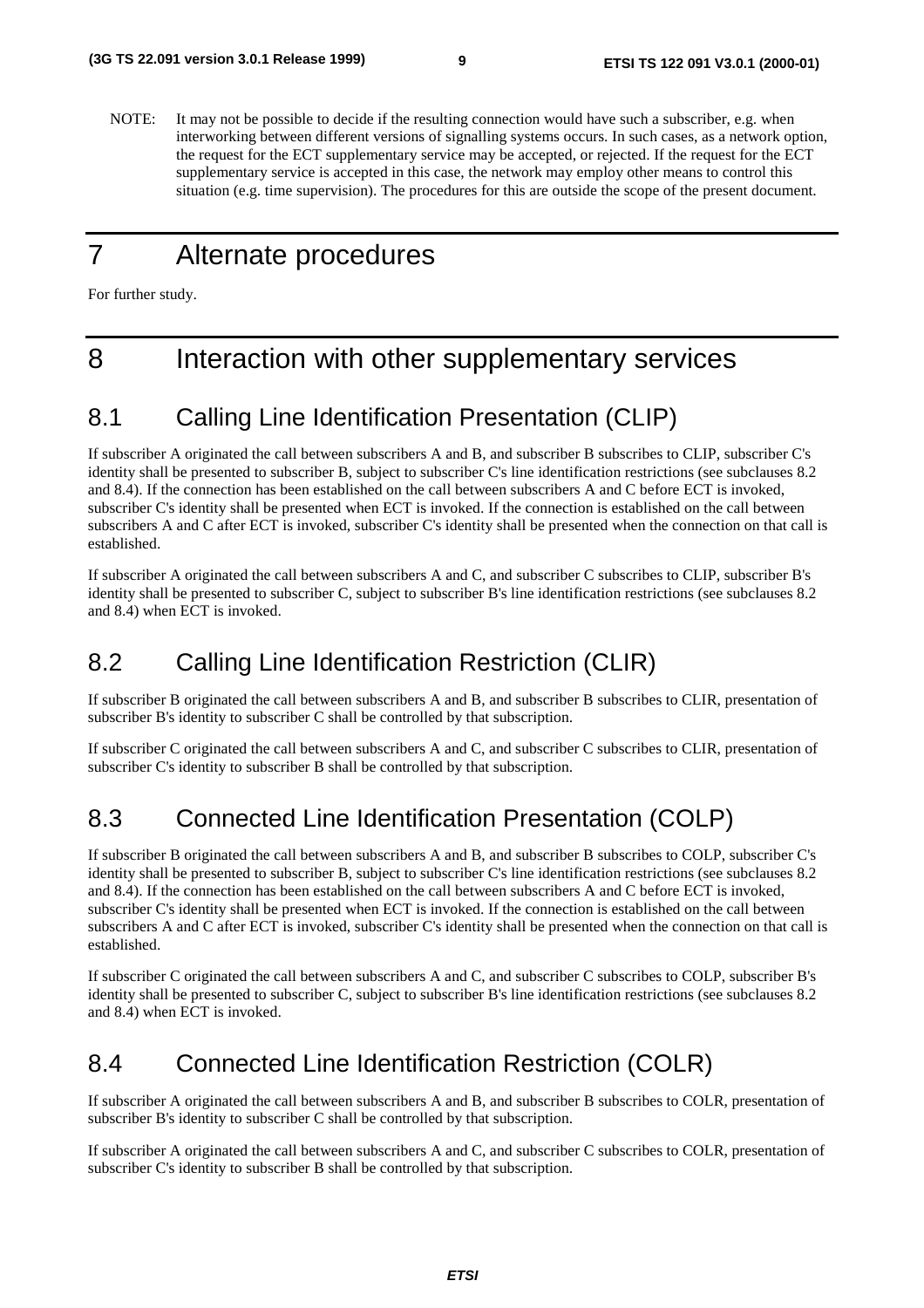NOTE: It may not be possible to decide if the resulting connection would have such a subscriber, e.g. when interworking between different versions of signalling systems occurs. In such cases, as a network option, the request for the ECT supplementary service may be accepted, or rejected. If the request for the ECT supplementary service is accepted in this case, the network may employ other means to control this situation (e.g. time supervision). The procedures for this are outside the scope of the present document.

#### 7 Alternate procedures

For further study.

# 8 Interaction with other supplementary services

### 8.1 Calling Line Identification Presentation (CLIP)

If subscriber A originated the call between subscribers A and B, and subscriber B subscribes to CLIP, subscriber C's identity shall be presented to subscriber B, subject to subscriber C's line identification restrictions (see subclauses 8.2 and 8.4). If the connection has been established on the call between subscribers A and C before ECT is invoked, subscriber C's identity shall be presented when ECT is invoked. If the connection is established on the call between subscribers A and C after ECT is invoked, subscriber C's identity shall be presented when the connection on that call is established.

If subscriber A originated the call between subscribers A and C, and subscriber C subscribes to CLIP, subscriber B's identity shall be presented to subscriber C, subject to subscriber B's line identification restrictions (see subclauses 8.2 and 8.4) when ECT is invoked.

### 8.2 Calling Line Identification Restriction (CLIR)

If subscriber B originated the call between subscribers A and B, and subscriber B subscribes to CLIR, presentation of subscriber B's identity to subscriber C shall be controlled by that subscription.

If subscriber C originated the call between subscribers A and C, and subscriber C subscribes to CLIR, presentation of subscriber C's identity to subscriber B shall be controlled by that subscription.

### 8.3 Connected Line Identification Presentation (COLP)

If subscriber B originated the call between subscribers A and B, and subscriber B subscribes to COLP, subscriber C's identity shall be presented to subscriber B, subject to subscriber C's line identification restrictions (see subclauses 8.2 and 8.4). If the connection has been established on the call between subscribers A and C before ECT is invoked, subscriber C's identity shall be presented when ECT is invoked. If the connection is established on the call between subscribers A and C after ECT is invoked, subscriber C's identity shall be presented when the connection on that call is established.

If subscriber C originated the call between subscribers A and C, and subscriber C subscribes to COLP, subscriber B's identity shall be presented to subscriber C, subject to subscriber B's line identification restrictions (see subclauses 8.2 and 8.4) when ECT is invoked.

### 8.4 Connected Line Identification Restriction (COLR)

If subscriber A originated the call between subscribers A and B, and subscriber B subscribes to COLR, presentation of subscriber B's identity to subscriber C shall be controlled by that subscription.

If subscriber A originated the call between subscribers A and C, and subscriber C subscribes to COLR, presentation of subscriber C's identity to subscriber B shall be controlled by that subscription.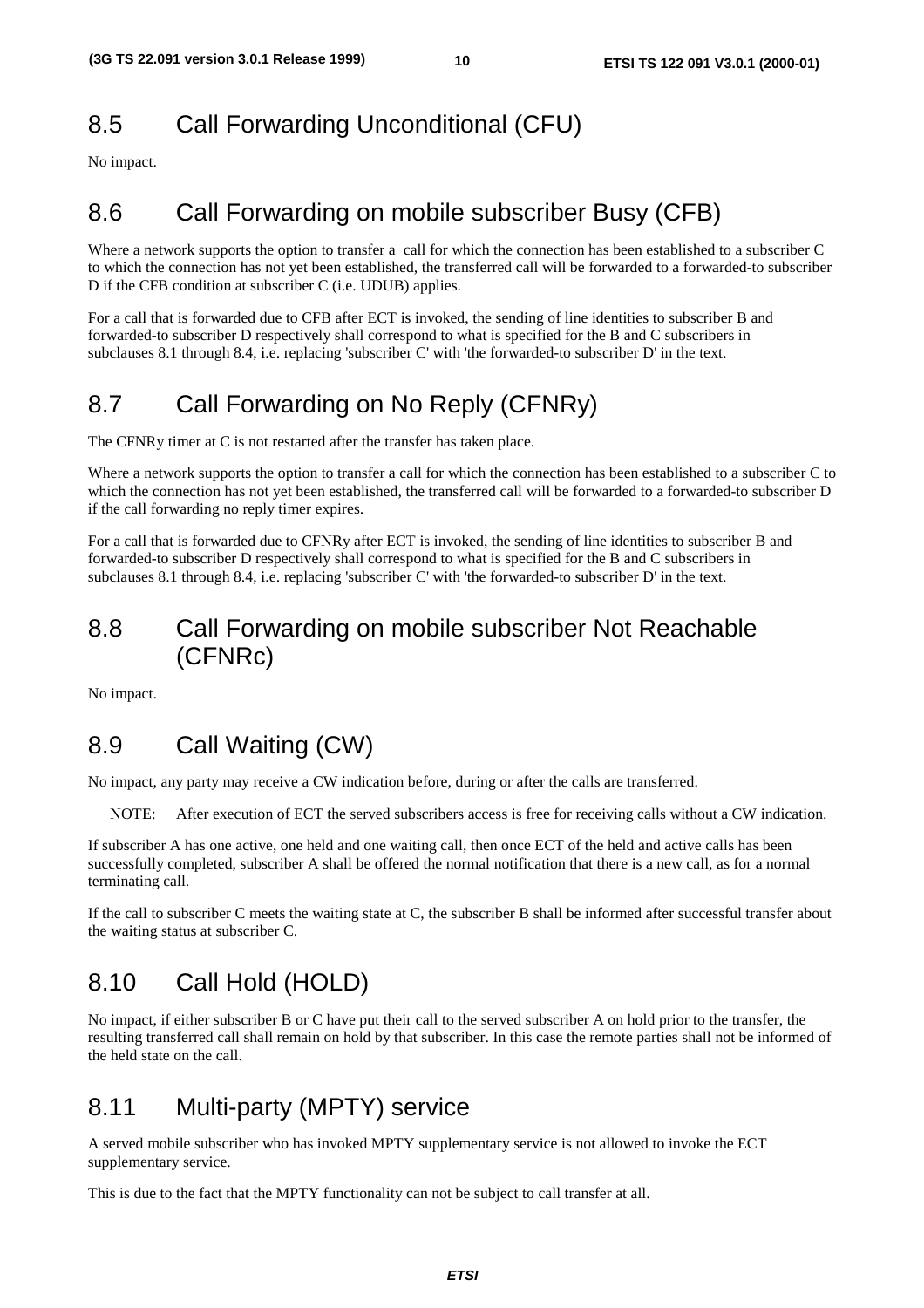# 8.5 Call Forwarding Unconditional (CFU)

No impact.

# 8.6 Call Forwarding on mobile subscriber Busy (CFB)

Where a network supports the option to transfer a call for which the connection has been established to a subscriber C to which the connection has not yet been established, the transferred call will be forwarded to a forwarded-to subscriber D if the CFB condition at subscriber C (i.e. UDUB) applies.

For a call that is forwarded due to CFB after ECT is invoked, the sending of line identities to subscriber B and forwarded-to subscriber D respectively shall correspond to what is specified for the B and C subscribers in subclauses 8.1 through 8.4, i.e. replacing 'subscriber C' with 'the forwarded-to subscriber D' in the text.

# 8.7 Call Forwarding on No Reply (CFNRy)

The CFNRy timer at C is not restarted after the transfer has taken place.

Where a network supports the option to transfer a call for which the connection has been established to a subscriber C to which the connection has not yet been established, the transferred call will be forwarded to a forwarded-to subscriber D if the call forwarding no reply timer expires.

For a call that is forwarded due to CFNRy after ECT is invoked, the sending of line identities to subscriber B and forwarded-to subscriber D respectively shall correspond to what is specified for the B and C subscribers in subclauses 8.1 through 8.4, i.e. replacing 'subscriber C' with 'the forwarded-to subscriber D' in the text.

#### 8.8 Call Forwarding on mobile subscriber Not Reachable (CFNRc)

No impact.

### 8.9 Call Waiting (CW)

No impact, any party may receive a CW indication before, during or after the calls are transferred.

NOTE: After execution of ECT the served subscribers access is free for receiving calls without a CW indication.

If subscriber A has one active, one held and one waiting call, then once ECT of the held and active calls has been successfully completed, subscriber A shall be offered the normal notification that there is a new call, as for a normal terminating call.

If the call to subscriber C meets the waiting state at C, the subscriber B shall be informed after successful transfer about the waiting status at subscriber C.

### 8.10 Call Hold (HOLD)

No impact, if either subscriber B or C have put their call to the served subscriber A on hold prior to the transfer, the resulting transferred call shall remain on hold by that subscriber. In this case the remote parties shall not be informed of the held state on the call.

#### 8.11 Multi-party (MPTY) service

A served mobile subscriber who has invoked MPTY supplementary service is not allowed to invoke the ECT supplementary service.

This is due to the fact that the MPTY functionality can not be subject to call transfer at all.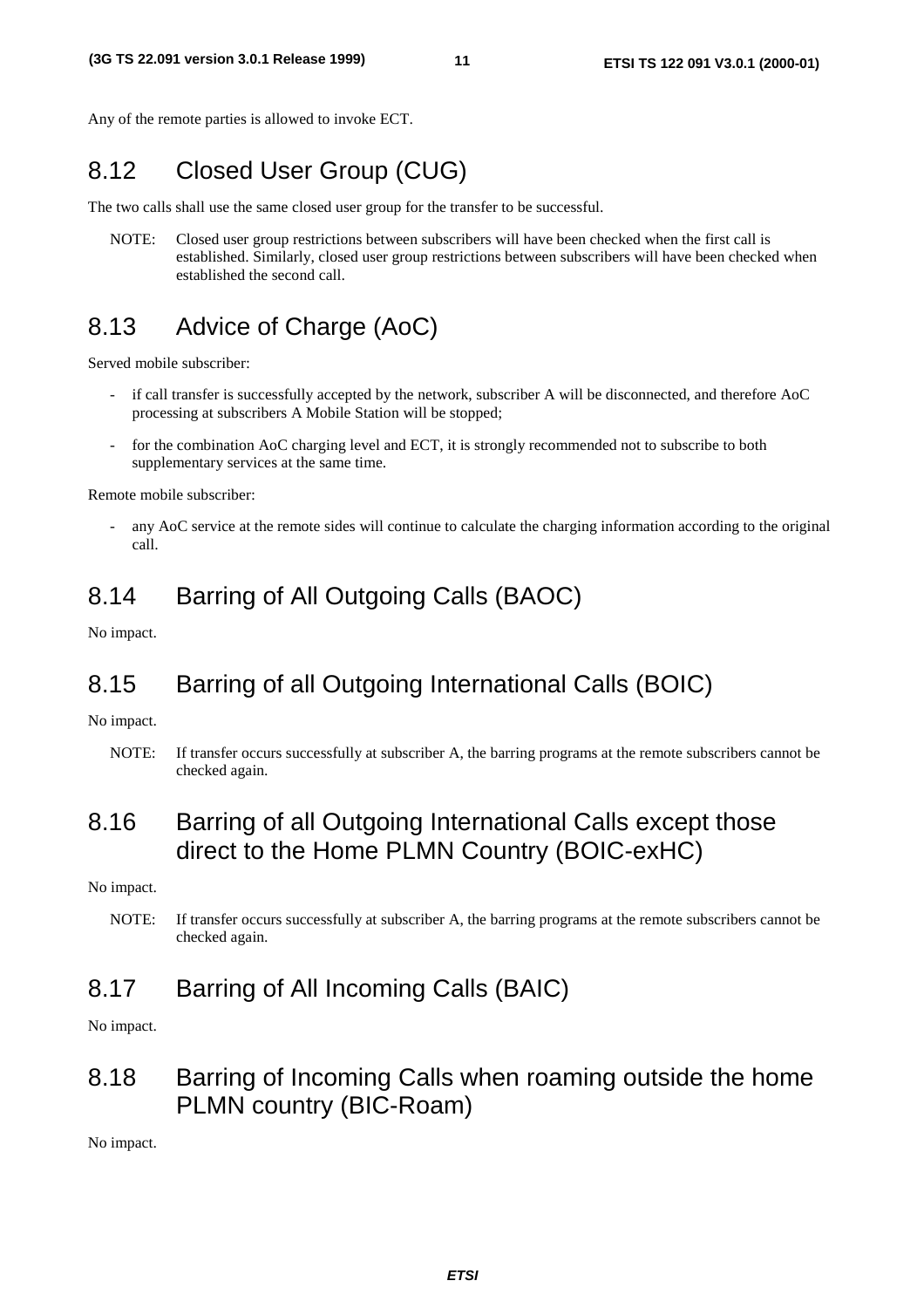Any of the remote parties is allowed to invoke ECT.

#### 8.12 Closed User Group (CUG)

The two calls shall use the same closed user group for the transfer to be successful.

NOTE: Closed user group restrictions between subscribers will have been checked when the first call is established. Similarly, closed user group restrictions between subscribers will have been checked when established the second call.

#### 8.13 Advice of Charge (AoC)

Served mobile subscriber:

- if call transfer is successfully accepted by the network, subscriber A will be disconnected, and therefore AoC processing at subscribers A Mobile Station will be stopped;
- for the combination AoC charging level and ECT, it is strongly recommended not to subscribe to both supplementary services at the same time.

Remote mobile subscriber:

any AoC service at the remote sides will continue to calculate the charging information according to the original call.

#### 8.14 Barring of All Outgoing Calls (BAOC)

No impact.

#### 8.15 Barring of all Outgoing International Calls (BOIC)

No impact.

NOTE: If transfer occurs successfully at subscriber A, the barring programs at the remote subscribers cannot be checked again.

#### 8.16 Barring of all Outgoing International Calls except those direct to the Home PLMN Country (BOIC-exHC)

No impact.

NOTE: If transfer occurs successfully at subscriber A, the barring programs at the remote subscribers cannot be checked again.

#### 8.17 Barring of All Incoming Calls (BAIC)

No impact.

#### 8.18 Barring of Incoming Calls when roaming outside the home PLMN country (BIC-Roam)

No impact.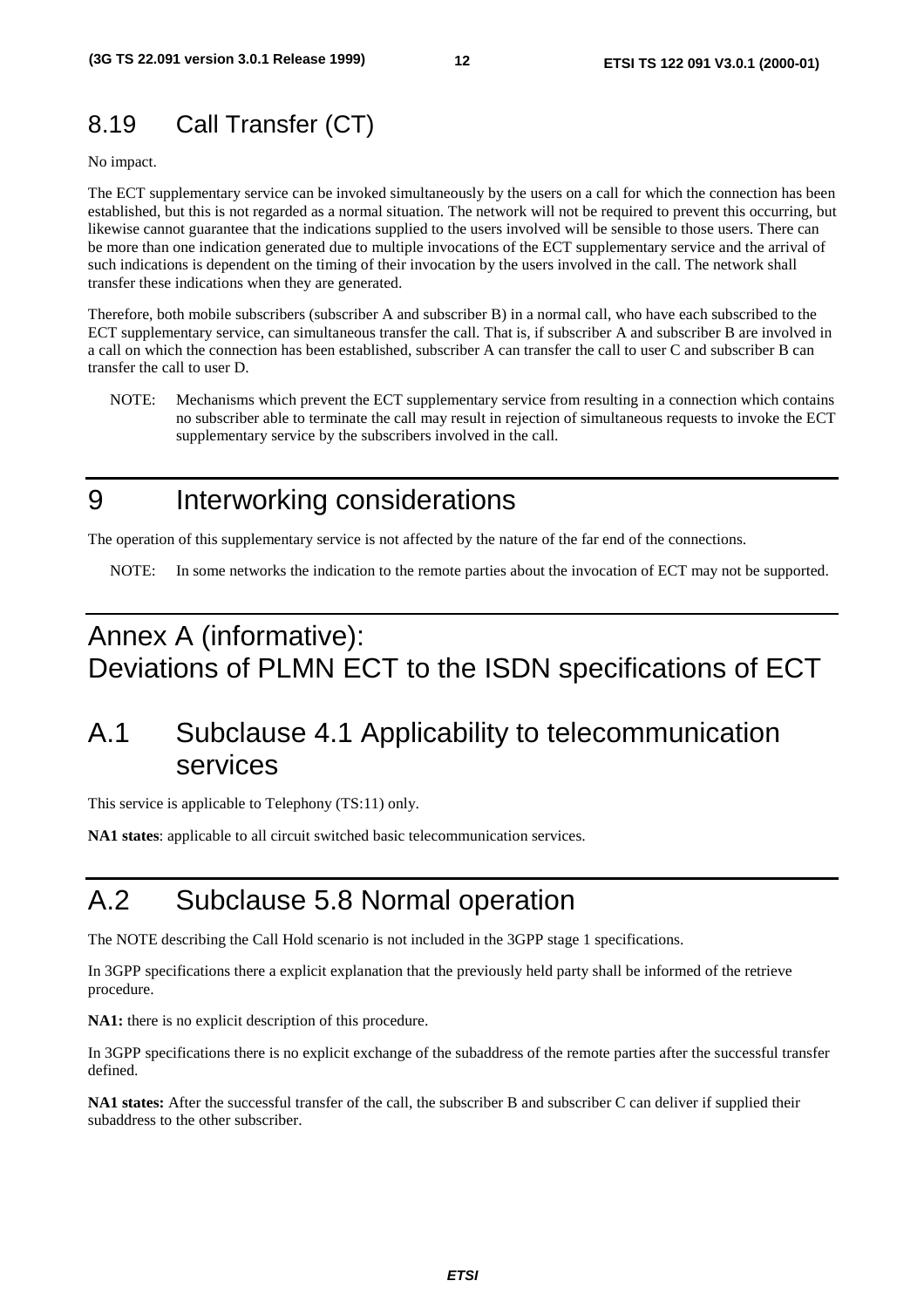# 8.19 Call Transfer (CT)

No impact.

The ECT supplementary service can be invoked simultaneously by the users on a call for which the connection has been established, but this is not regarded as a normal situation. The network will not be required to prevent this occurring, but likewise cannot guarantee that the indications supplied to the users involved will be sensible to those users. There can be more than one indication generated due to multiple invocations of the ECT supplementary service and the arrival of such indications is dependent on the timing of their invocation by the users involved in the call. The network shall transfer these indications when they are generated.

Therefore, both mobile subscribers (subscriber A and subscriber B) in a normal call, who have each subscribed to the ECT supplementary service, can simultaneous transfer the call. That is, if subscriber A and subscriber B are involved in a call on which the connection has been established, subscriber A can transfer the call to user C and subscriber B can transfer the call to user D.

NOTE: Mechanisms which prevent the ECT supplementary service from resulting in a connection which contains no subscriber able to terminate the call may result in rejection of simultaneous requests to invoke the ECT supplementary service by the subscribers involved in the call.

# 9 Interworking considerations

The operation of this supplementary service is not affected by the nature of the far end of the connections.

NOTE: In some networks the indication to the remote parties about the invocation of ECT may not be supported.

# Annex A (informative): Deviations of PLMN ECT to the ISDN specifications of ECT

# A.1 Subclause 4.1 Applicability to telecommunication services

This service is applicable to Telephony (TS:11) only.

**NA1 states**: applicable to all circuit switched basic telecommunication services.

# A.2 Subclause 5.8 Normal operation

The NOTE describing the Call Hold scenario is not included in the 3GPP stage 1 specifications.

In 3GPP specifications there a explicit explanation that the previously held party shall be informed of the retrieve procedure.

**NA1:** there is no explicit description of this procedure.

In 3GPP specifications there is no explicit exchange of the subaddress of the remote parties after the successful transfer defined.

**NA1 states:** After the successful transfer of the call, the subscriber B and subscriber C can deliver if supplied their subaddress to the other subscriber.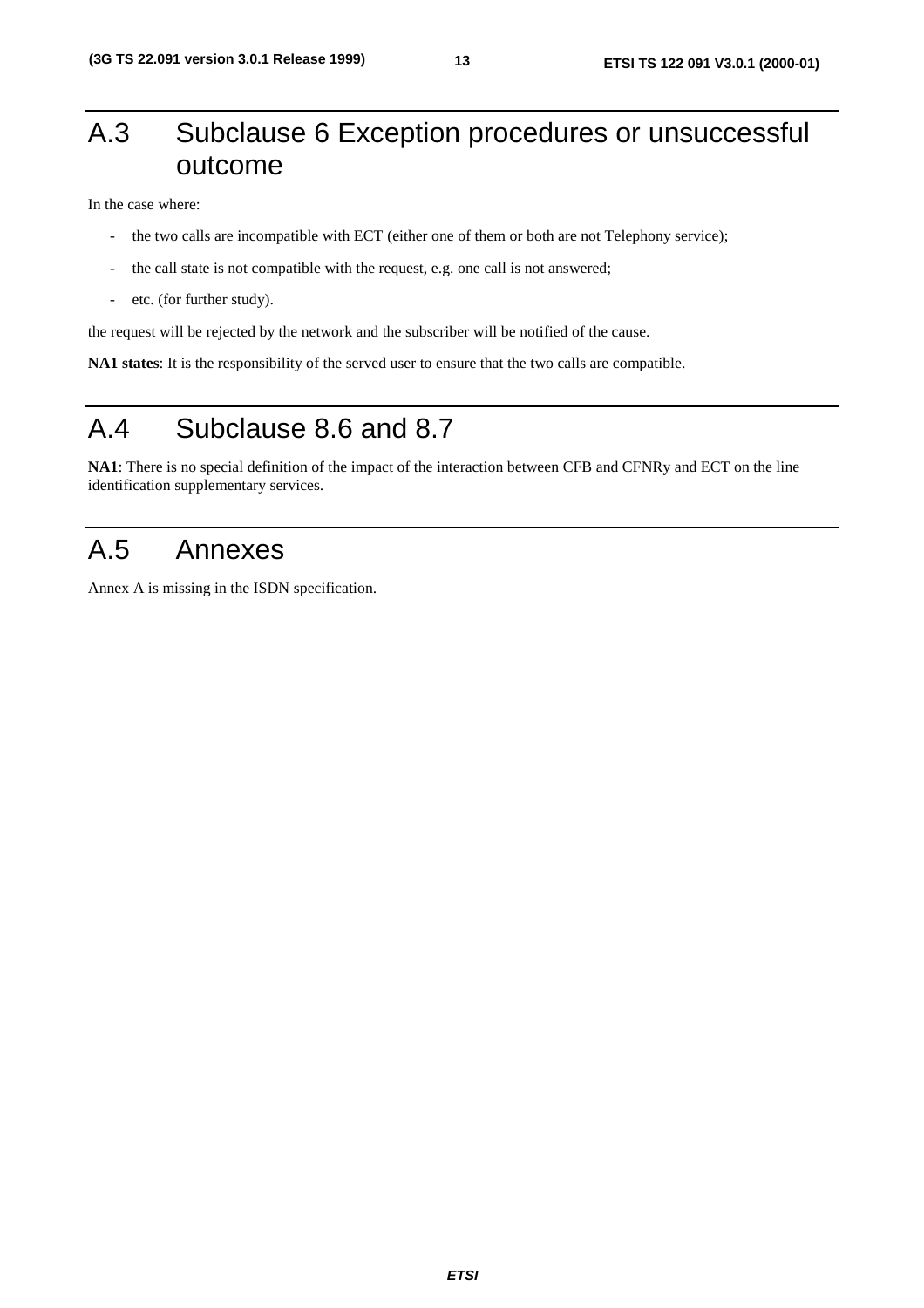# A.3 Subclause 6 Exception procedures or unsuccessful outcome

In the case where:

- the two calls are incompatible with ECT (either one of them or both are not Telephony service);
- the call state is not compatible with the request, e.g. one call is not answered;
- etc. (for further study).

the request will be rejected by the network and the subscriber will be notified of the cause.

**NA1 states**: It is the responsibility of the served user to ensure that the two calls are compatible.

# A.4 Subclause 8.6 and 8.7

**NA1**: There is no special definition of the impact of the interaction between CFB and CFNRy and ECT on the line identification supplementary services.

#### A.5 Annexes

Annex A is missing in the ISDN specification.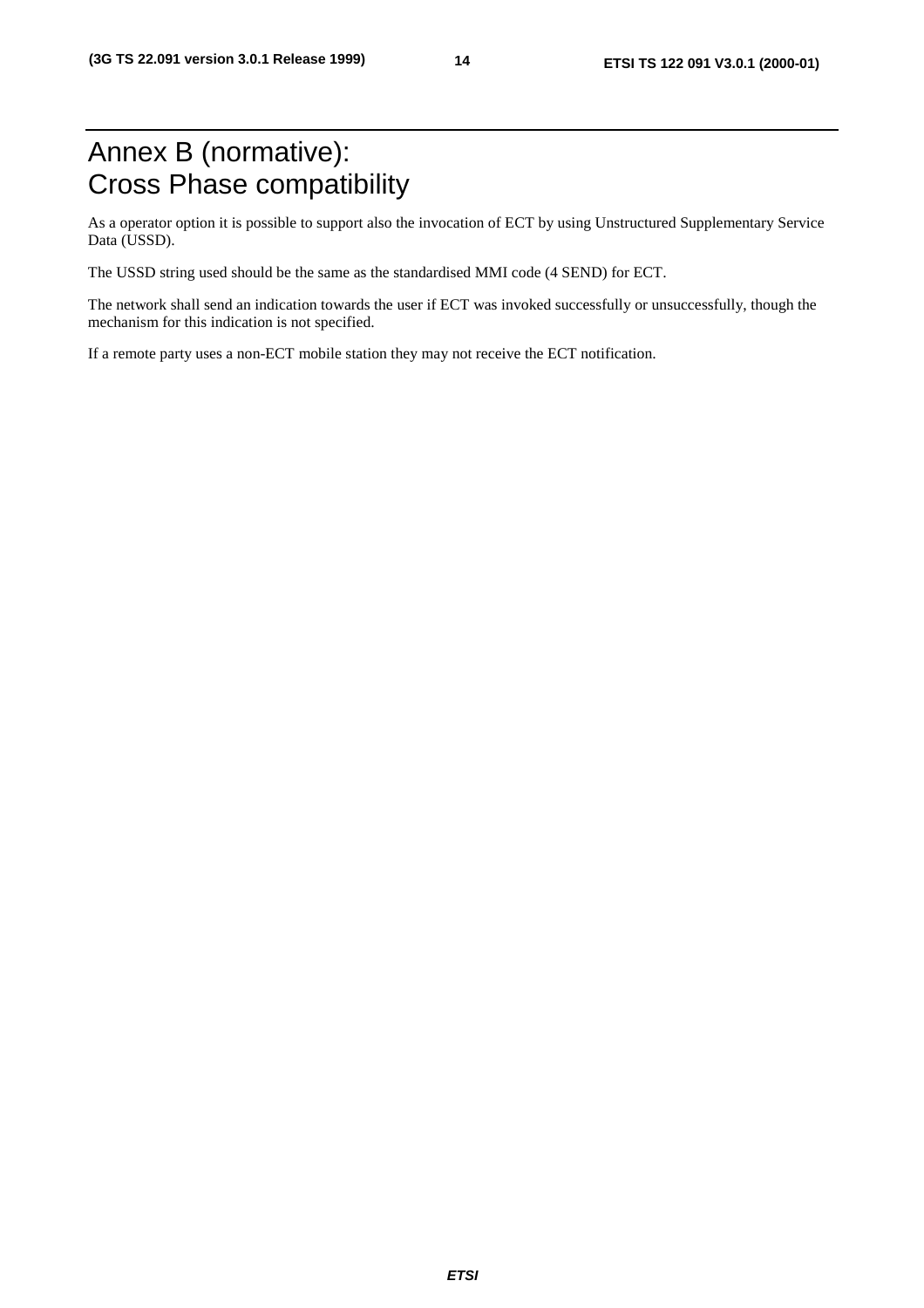# Annex B (normative): Cross Phase compatibility

As a operator option it is possible to support also the invocation of ECT by using Unstructured Supplementary Service Data (USSD).

The USSD string used should be the same as the standardised MMI code (4 SEND) for ECT.

The network shall send an indication towards the user if ECT was invoked successfully or unsuccessfully, though the mechanism for this indication is not specified.

If a remote party uses a non-ECT mobile station they may not receive the ECT notification.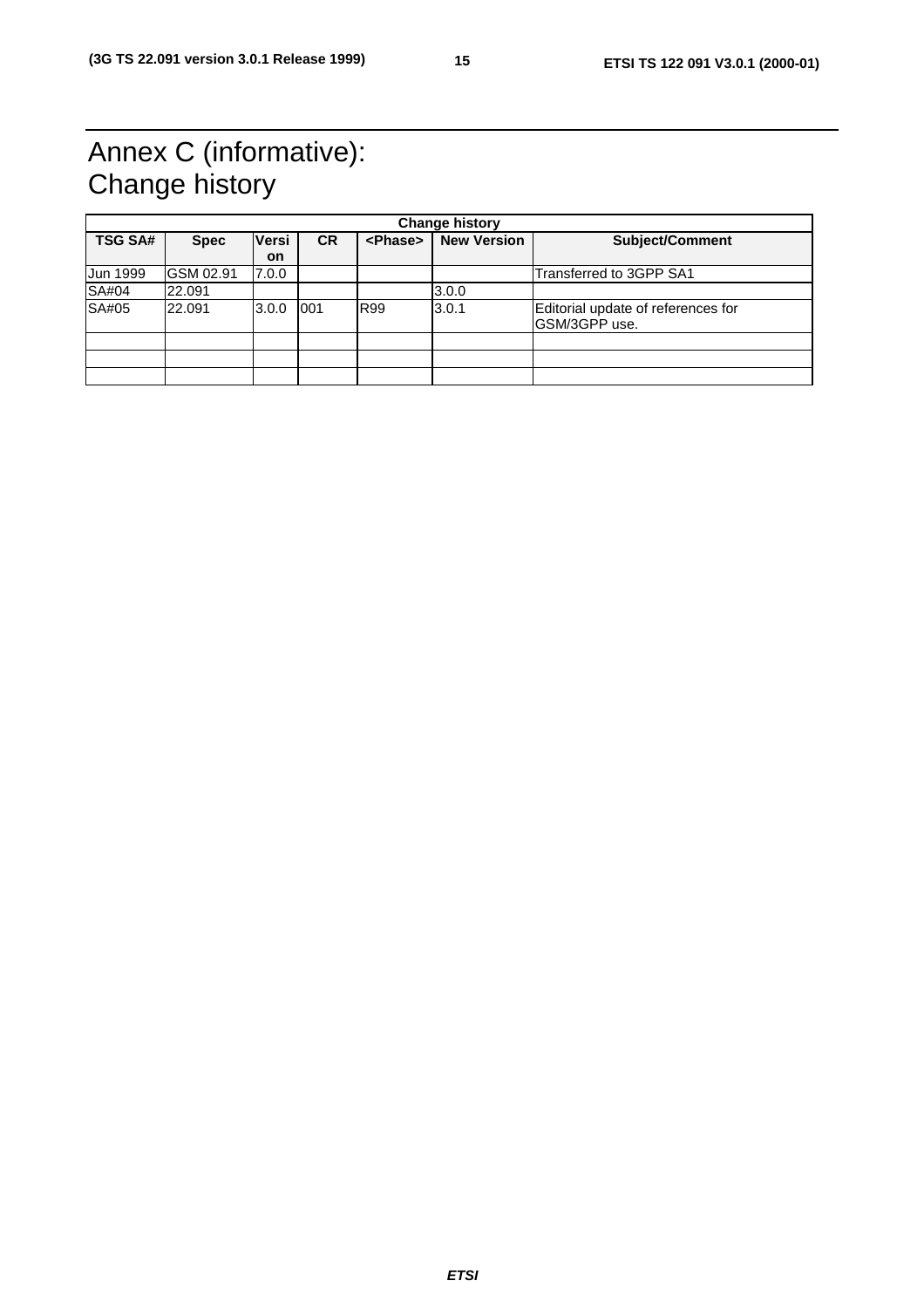# Annex C (informative): Change history

|                 | <b>Change history</b> |              |           |                 |                    |                                                     |  |  |
|-----------------|-----------------------|--------------|-----------|-----------------|--------------------|-----------------------------------------------------|--|--|
| <b>TSG SA#</b>  | <b>Spec</b>           | <b>Versi</b> | <b>CR</b> | <phase></phase> | <b>New Version</b> | Subject/Comment                                     |  |  |
|                 |                       | <b>on</b>    |           |                 |                    |                                                     |  |  |
| <b>Jun 1999</b> | GSM 02.91             | 7.0.0        |           |                 |                    | Transferred to 3GPP SA1                             |  |  |
| SA#04           | 22.091                |              |           |                 | 3.0.0              |                                                     |  |  |
| SA#05           | 22.091                | 3.0.0        | 001       | <b>R99</b>      | 3.0.1              | Editorial update of references for<br>GSM/3GPP use. |  |  |
|                 |                       |              |           |                 |                    |                                                     |  |  |
|                 |                       |              |           |                 |                    |                                                     |  |  |
|                 |                       |              |           |                 |                    |                                                     |  |  |